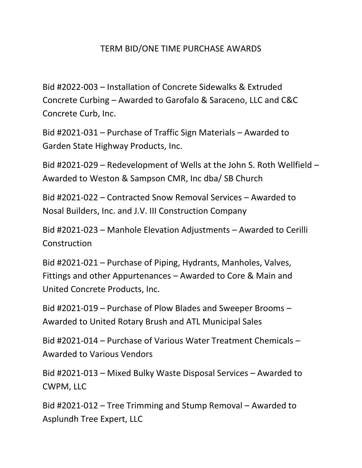## TERM BID/ONE TIME PURCHASE AWARDS

Bid #2022-003 – Installation of Concrete Sidewalks & Extruded Concrete Curbing – Awarded to Garofalo & Saraceno, LLC and C&C Concrete Curb, Inc.

Bid #2021-031 – Purchase of Traffic Sign Materials – Awarded to Garden State Highway Products, Inc.

Bid #2021-029 – Redevelopment of Wells at the John S. Roth Wellfield – Awarded to Weston & Sampson CMR, Inc dba/ SB Church

Bid #2021-022 – Contracted Snow Removal Services – Awarded to Nosal Builders, Inc. and J.V. III Construction Company

Bid #2021-023 – Manhole Elevation Adjustments – Awarded to Cerilli **Construction** 

Bid #2021-021 – Purchase of Piping, Hydrants, Manholes, Valves, Fittings and other Appurtenances – Awarded to Core & Main and United Concrete Products, Inc.

Bid #2021-019 – Purchase of Plow Blades and Sweeper Brooms – Awarded to United Rotary Brush and ATL Municipal Sales

Bid #2021-014 – Purchase of Various Water Treatment Chemicals – Awarded to Various Vendors

Bid #2021-013 – Mixed Bulky Waste Disposal Services – Awarded to CWPM, LLC

Bid #2021-012 – Tree Trimming and Stump Removal – Awarded to Asplundh Tree Expert, LLC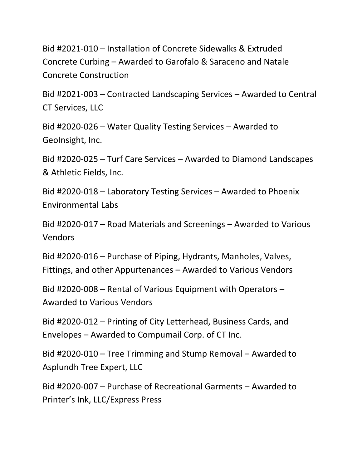Bid #2021-010 – Installation of Concrete Sidewalks & Extruded Concrete Curbing – Awarded to Garofalo & Saraceno and Natale Concrete Construction

Bid #2021-003 – Contracted Landscaping Services – Awarded to Central CT Services, LLC

Bid #2020-026 – Water Quality Testing Services – Awarded to GeoInsight, Inc.

Bid #2020-025 – Turf Care Services – Awarded to Diamond Landscapes & Athletic Fields, Inc.

Bid #2020-018 – Laboratory Testing Services – Awarded to Phoenix Environmental Labs

Bid #2020-017 – Road Materials and Screenings – Awarded to Various Vendors

Bid #2020-016 – Purchase of Piping, Hydrants, Manholes, Valves, Fittings, and other Appurtenances – Awarded to Various Vendors

Bid #2020-008 – Rental of Various Equipment with Operators – Awarded to Various Vendors

Bid #2020-012 – Printing of City Letterhead, Business Cards, and Envelopes – Awarded to Compumail Corp. of CT Inc.

Bid #2020-010 – Tree Trimming and Stump Removal – Awarded to Asplundh Tree Expert, LLC

Bid #2020-007 – Purchase of Recreational Garments – Awarded to Printer's Ink, LLC/Express Press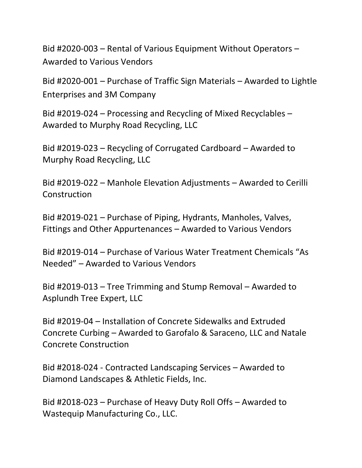Bid #2020-003 – Rental of Various Equipment Without Operators – Awarded to Various Vendors

Bid #2020-001 – Purchase of Traffic Sign Materials – Awarded to Lightle Enterprises and 3M Company

Bid #2019-024 – Processing and Recycling of Mixed Recyclables – Awarded to Murphy Road Recycling, LLC

Bid #2019-023 – Recycling of Corrugated Cardboard – Awarded to Murphy Road Recycling, LLC

Bid #2019-022 – Manhole Elevation Adjustments – Awarded to Cerilli **Construction** 

Bid #2019-021 – Purchase of Piping, Hydrants, Manholes, Valves, Fittings and Other Appurtenances – Awarded to Various Vendors

Bid #2019-014 – Purchase of Various Water Treatment Chemicals "As Needed" – Awarded to Various Vendors

Bid #2019-013 – Tree Trimming and Stump Removal – Awarded to Asplundh Tree Expert, LLC

Bid #2019-04 – Installation of Concrete Sidewalks and Extruded Concrete Curbing – Awarded to Garofalo & Saraceno, LLC and Natale Concrete Construction

Bid #2018-024 - Contracted Landscaping Services – Awarded to Diamond Landscapes & Athletic Fields, Inc.

Bid #2018-023 – Purchase of Heavy Duty Roll Offs – Awarded to Wastequip Manufacturing Co., LLC.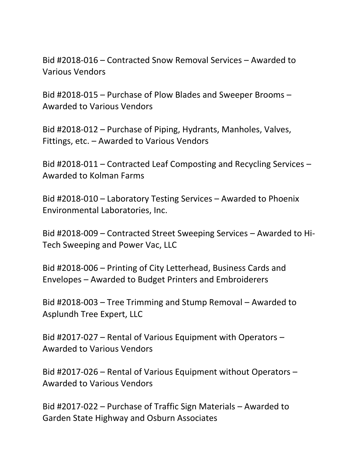Bid #2018-016 – Contracted Snow Removal Services – Awarded to Various Vendors

Bid #2018-015 – Purchase of Plow Blades and Sweeper Brooms – Awarded to Various Vendors

Bid #2018-012 – Purchase of Piping, Hydrants, Manholes, Valves, Fittings, etc. – Awarded to Various Vendors

Bid #2018-011 – Contracted Leaf Composting and Recycling Services – Awarded to Kolman Farms

Bid #2018-010 – Laboratory Testing Services – Awarded to Phoenix Environmental Laboratories, Inc.

Bid #2018-009 – Contracted Street Sweeping Services – Awarded to Hi-Tech Sweeping and Power Vac, LLC

Bid #2018-006 – Printing of City Letterhead, Business Cards and Envelopes – Awarded to Budget Printers and Embroiderers

Bid #2018-003 – Tree Trimming and Stump Removal – Awarded to Asplundh Tree Expert, LLC

Bid #2017-027 – Rental of Various Equipment with Operators – Awarded to Various Vendors

Bid #2017-026 – Rental of Various Equipment without Operators – Awarded to Various Vendors

Bid #2017-022 – Purchase of Traffic Sign Materials – Awarded to Garden State Highway and Osburn Associates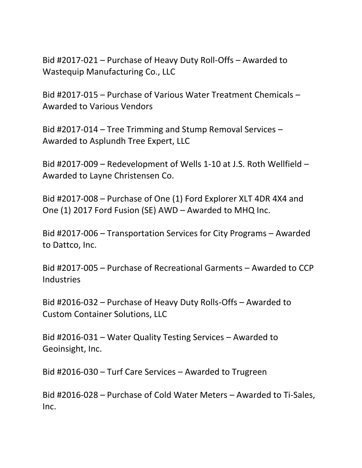Bid #2017-021 – Purchase of Heavy Duty Roll-Offs – Awarded to Wastequip Manufacturing Co., LLC

Bid #2017-015 – Purchase of Various Water Treatment Chemicals – Awarded to Various Vendors

Bid #2017-014 – Tree Trimming and Stump Removal Services – Awarded to Asplundh Tree Expert, LLC

Bid #2017-009 – Redevelopment of Wells 1-10 at J.S. Roth Wellfield – Awarded to Layne Christensen Co.

Bid #2017-008 – Purchase of One (1) Ford Explorer XLT 4DR 4X4 and One (1) 2017 Ford Fusion (SE) AWD – Awarded to MHQ Inc.

Bid #2017-006 – Transportation Services for City Programs – Awarded to Dattco, Inc.

Bid #2017-005 – Purchase of Recreational Garments – Awarded to CCP **Industries** 

Bid #2016-032 – Purchase of Heavy Duty Rolls-Offs – Awarded to Custom Container Solutions, LLC

Bid #2016-031 – Water Quality Testing Services – Awarded to Geoinsight, Inc.

Bid #2016-030 – Turf Care Services – Awarded to Trugreen

Bid #2016-028 – Purchase of Cold Water Meters – Awarded to Ti-Sales, Inc.